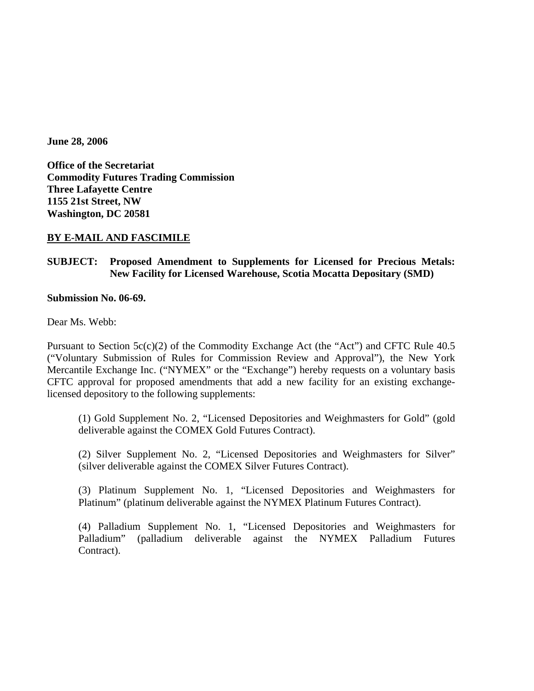**June 28, 2006** 

**Office of the Secretariat Commodity Futures Trading Commission Three Lafayette Centre 1155 21st Street, NW Washington, DC 20581** 

# **BY E-MAIL AND FASCIMILE**

# **SUBJECT: Proposed Amendment to Supplements for Licensed for Precious Metals: New Facility for Licensed Warehouse, Scotia Mocatta Depositary (SMD)**

### **Submission No. 06-69.**

Dear Ms. Webb:

Pursuant to Section 5c(c)(2) of the Commodity Exchange Act (the "Act") and CFTC Rule 40.5 ("Voluntary Submission of Rules for Commission Review and Approval"), the New York Mercantile Exchange Inc. ("NYMEX" or the "Exchange") hereby requests on a voluntary basis CFTC approval for proposed amendments that add a new facility for an existing exchangelicensed depository to the following supplements:

 (1) Gold Supplement No. 2, "Licensed Depositories and Weighmasters for Gold" (gold deliverable against the COMEX Gold Futures Contract).

 (2) Silver Supplement No. 2, "Licensed Depositories and Weighmasters for Silver" (silver deliverable against the COMEX Silver Futures Contract).

 (3) Platinum Supplement No. 1, "Licensed Depositories and Weighmasters for Platinum" (platinum deliverable against the NYMEX Platinum Futures Contract).

 (4) Palladium Supplement No. 1, "Licensed Depositories and Weighmasters for Palladium" (palladium deliverable against the NYMEX Palladium Futures Contract).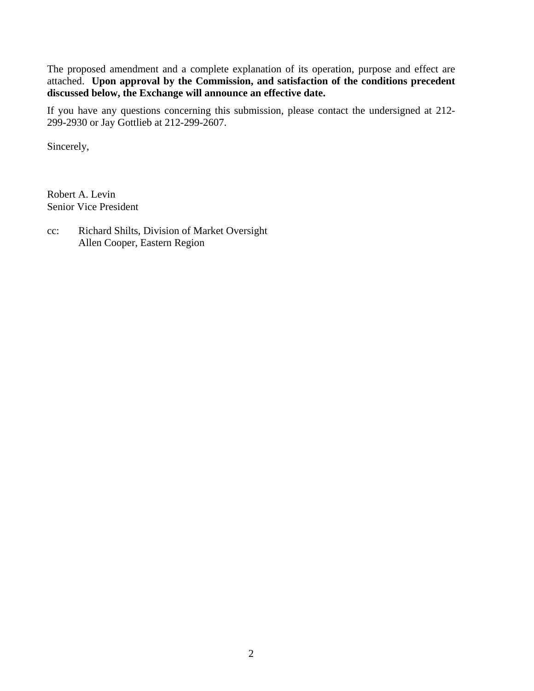The proposed amendment and a complete explanation of its operation, purpose and effect are attached. **Upon approval by the Commission, and satisfaction of the conditions precedent discussed below, the Exchange will announce an effective date.** 

If you have any questions concerning this submission, please contact the undersigned at 212- 299-2930 or Jay Gottlieb at 212-299-2607.

Sincerely,

Robert A. Levin Senior Vice President

cc: Richard Shilts, Division of Market Oversight Allen Cooper, Eastern Region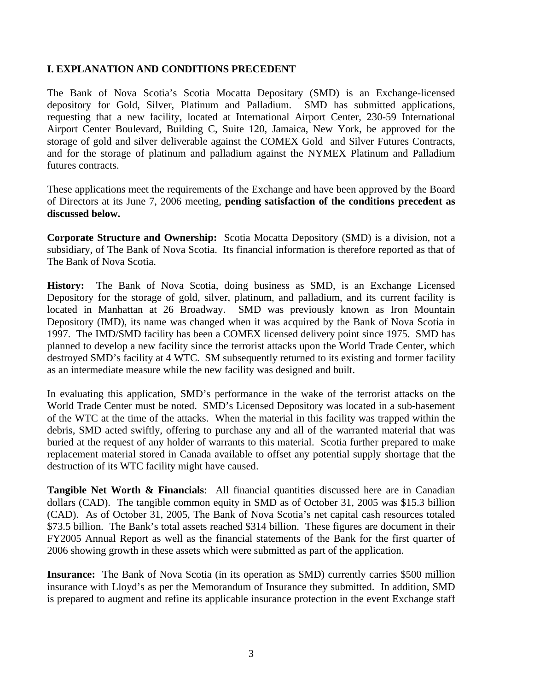# **I. EXPLANATION AND CONDITIONS PRECEDENT**

The Bank of Nova Scotia's Scotia Mocatta Depositary (SMD) is an Exchange-licensed depository for Gold, Silver, Platinum and Palladium. SMD has submitted applications, requesting that a new facility, located at International Airport Center, 230-59 International Airport Center Boulevard, Building C, Suite 120, Jamaica, New York, be approved for the storage of gold and silver deliverable against the COMEX Gold and Silver Futures Contracts, and for the storage of platinum and palladium against the NYMEX Platinum and Palladium futures contracts.

These applications meet the requirements of the Exchange and have been approved by the Board of Directors at its June 7, 2006 meeting, **pending satisfaction of the conditions precedent as discussed below.** 

**Corporate Structure and Ownership:** Scotia Mocatta Depository (SMD) is a division, not a subsidiary, of The Bank of Nova Scotia. Its financial information is therefore reported as that of The Bank of Nova Scotia.

**History:** The Bank of Nova Scotia, doing business as SMD, is an Exchange Licensed Depository for the storage of gold, silver, platinum, and palladium, and its current facility is located in Manhattan at 26 Broadway. SMD was previously known as Iron Mountain Depository (IMD), its name was changed when it was acquired by the Bank of Nova Scotia in 1997. The IMD/SMD facility has been a COMEX licensed delivery point since 1975. SMD has planned to develop a new facility since the terrorist attacks upon the World Trade Center, which destroyed SMD's facility at 4 WTC. SM subsequently returned to its existing and former facility as an intermediate measure while the new facility was designed and built.

In evaluating this application, SMD's performance in the wake of the terrorist attacks on the World Trade Center must be noted. SMD's Licensed Depository was located in a sub-basement of the WTC at the time of the attacks. When the material in this facility was trapped within the debris, SMD acted swiftly, offering to purchase any and all of the warranted material that was buried at the request of any holder of warrants to this material. Scotia further prepared to make replacement material stored in Canada available to offset any potential supply shortage that the destruction of its WTC facility might have caused.

**Tangible Net Worth & Financials**: All financial quantities discussed here are in Canadian dollars (CAD). The tangible common equity in SMD as of October 31, 2005 was \$15.3 billion (CAD). As of October 31, 2005, The Bank of Nova Scotia's net capital cash resources totaled \$73.5 billion. The Bank's total assets reached \$314 billion. These figures are document in their FY2005 Annual Report as well as the financial statements of the Bank for the first quarter of 2006 showing growth in these assets which were submitted as part of the application.

**Insurance:** The Bank of Nova Scotia (in its operation as SMD) currently carries \$500 million insurance with Lloyd's as per the Memorandum of Insurance they submitted. In addition, SMD is prepared to augment and refine its applicable insurance protection in the event Exchange staff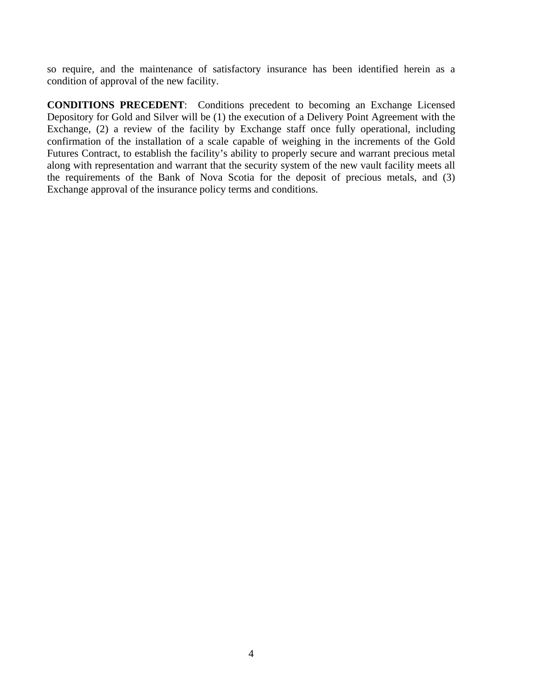so require, and the maintenance of satisfactory insurance has been identified herein as a condition of approval of the new facility.

**CONDITIONS PRECEDENT**: Conditions precedent to becoming an Exchange Licensed Depository for Gold and Silver will be (1) the execution of a Delivery Point Agreement with the Exchange, (2) a review of the facility by Exchange staff once fully operational, including confirmation of the installation of a scale capable of weighing in the increments of the Gold Futures Contract, to establish the facility's ability to properly secure and warrant precious metal along with representation and warrant that the security system of the new vault facility meets all the requirements of the Bank of Nova Scotia for the deposit of precious metals, and (3) Exchange approval of the insurance policy terms and conditions.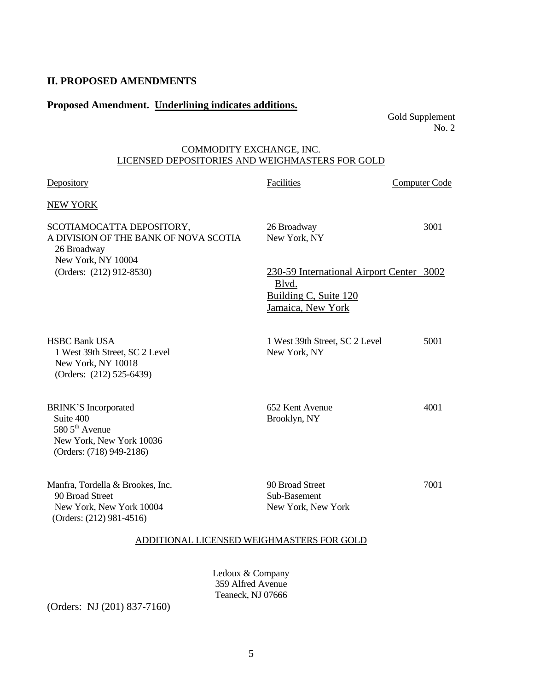## **II. PROPOSED AMENDMENTS**

# **Proposed Amendment. Underlining indicates additions.**

Gold Supplement No. 2

## COMMODITY EXCHANGE, INC. LICENSED DEPOSITORIES AND WEIGHMASTERS FOR GOLD

| Depository                                                                                                              | Facilities                                                                                      | Computer Code |
|-------------------------------------------------------------------------------------------------------------------------|-------------------------------------------------------------------------------------------------|---------------|
| <b>NEW YORK</b>                                                                                                         |                                                                                                 |               |
| SCOTIAMOCATTA DEPOSITORY,<br>A DIVISION OF THE BANK OF NOVA SCOTIA<br>26 Broadway<br>New York, NY 10004                 | 26 Broadway<br>New York, NY                                                                     | 3001          |
| (Orders: (212) 912-8530)                                                                                                | 230-59 International Airport Center 3002<br>Blvd.<br>Building C, Suite 120<br>Jamaica, New York |               |
| <b>HSBC Bank USA</b><br>1 West 39th Street, SC 2 Level<br>New York, NY 10018<br>(Orders: (212) 525-6439)                | 1 West 39th Street, SC 2 Level<br>New York, NY                                                  | 5001          |
| <b>BRINK'S Incorporated</b><br>Suite 400<br>580 $5^{th}$ Avenue<br>New York, New York 10036<br>(Orders: (718) 949-2186) | 652 Kent Avenue<br>Brooklyn, NY                                                                 | 4001          |
| Manfra, Tordella & Brookes, Inc.<br>90 Broad Street<br>New York, New York 10004<br>(Orders: (212) 981-4516)             | 90 Broad Street<br>Sub-Basement<br>New York, New York                                           | 7001          |

### ADDITIONAL LICENSED WEIGHMASTERS FOR GOLD

Ledoux & Company 359 Alfred Avenue Teaneck, NJ 07666

(Orders: NJ (201) 837-7160)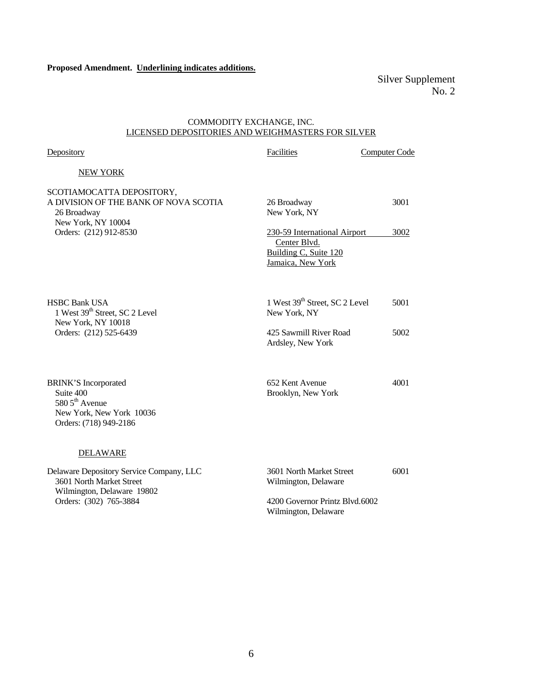Silver Supplement No. 2

#### COMMODITY EXCHANGE, INC. LICENSED DEPOSITORIES AND WEIGHMASTERS FOR SILVER

| Depository                                                                                                                        | Facilities                                                                                                                | Computer Code |
|-----------------------------------------------------------------------------------------------------------------------------------|---------------------------------------------------------------------------------------------------------------------------|---------------|
| <b>NEW YORK</b>                                                                                                                   |                                                                                                                           |               |
| SCOTIAMOCATTA DEPOSITORY,<br>A DIVISION OF THE BANK OF NOVA SCOTIA<br>26 Broadway<br>New York, NY 10004<br>Orders: (212) 912-8530 | 26 Broadway<br>New York, NY<br>230-59 International Airport<br>Center Blvd.<br>Building C, Suite 120<br>Jamaica, New York | 3001<br>3002  |
| <b>HSBC Bank USA</b><br>1 West 39th Street, SC 2 Level<br>New York, NY 10018<br>Orders: (212) 525-6439                            | 1 West 39th Street, SC 2 Level<br>New York, NY<br>425 Sawmill River Road<br>Ardsley, New York                             | 5001<br>5002  |
| <b>BRINK'S Incorporated</b><br>Suite 400<br>580 5 <sup>th</sup> Avenue<br>New York, New York 10036<br>Orders: (718) 949-2186      | 652 Kent Avenue<br>Brooklyn, New York                                                                                     | 4001          |
| <b>DELAWARE</b>                                                                                                                   |                                                                                                                           |               |
| Delaware Depository Service Company, LLC<br>3601 North Market Street<br>Wilmington, Delaware 19802<br>Orders: (302) 765-3884      | 3601 North Market Street<br>Wilmington, Delaware<br>4200 Governor Printz Blvd.6002<br>Wilmington, Delaware                | 6001          |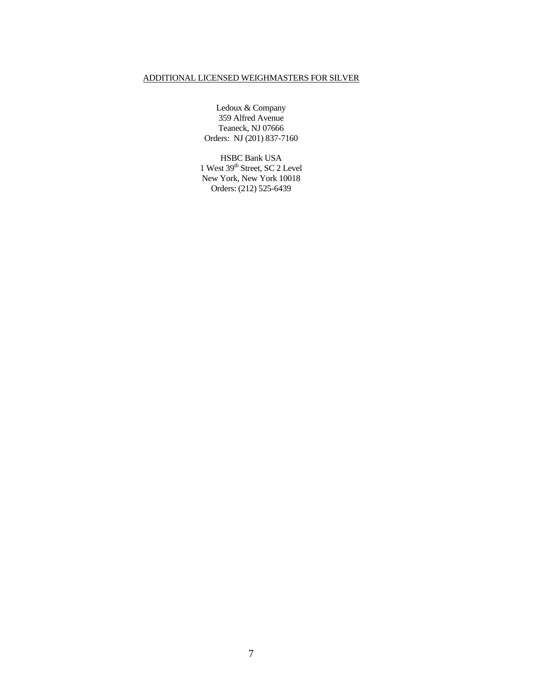### ADDITIONAL LICENSED WEIGHMASTERS FOR SILVER

Ledoux & Company 359 Alfred Avenue Teaneck, NJ 07666 Orders: NJ (201) 837-7160

HSBC Bank USA 1 West 39<sup>th</sup> Street, SC 2 Level New York, New York 10018 Orders: (212) 525-6439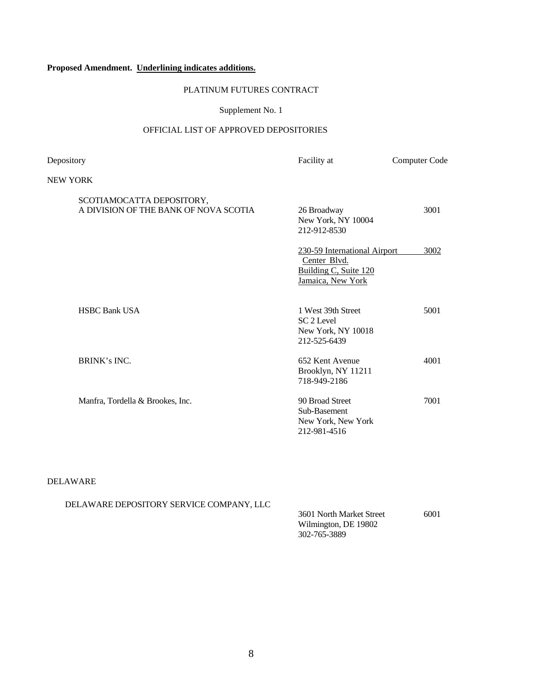### **Proposed Amendment. Underlining indicates additions.**

#### PLATINUM FUTURES CONTRACT

#### Supplement No. 1

### OFFICIAL LIST OF APPROVED DEPOSITORIES

Depository **Facility at** Computer Code NEW YORK SCOTIAMOCATTA DEPOSITORY, A DIVISION OF THE BANK OF NOVA SCOTIA 26 Broadway 3001 New York, NY 10004 212-912-8530 230-59 International Airport 3002 Center Blvd. Building C, Suite 120 Jamaica, New York HSBC Bank USA 1 West 39th Street 5001 SC 2 Level New York, NY 10018 212-525-6439 BRINK's INC. 4001 Brooklyn, NY 11211 718-949-2186 Manfra, Tordella & Brookes, Inc. 90 Broad Street 7001 Sub-Basement New York, New York 212-981-4516

#### DELAWARE

DELAWARE DEPOSITORY SERVICE COMPANY, LLC

 3601 North Market Street 6001 Wilmington, DE 19802 302-765-3889